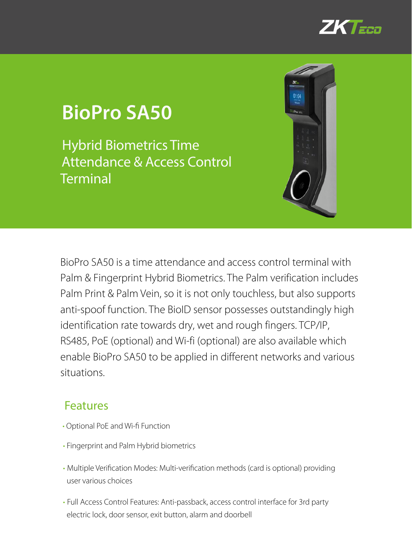

# **BioPro SA50**

Hybrid Biometrics Time Attendance & Access Control **Terminal** 



BioPro SA50 is a time attendance and access control terminal with Palm & Fingerprint Hybrid Biometrics. The Palm verification includes Palm Print & Palm Vein, so it is not only touchless, but also supports anti-spoof function. The BioID sensor possesses outstandingly high identification rate towards dry, wet and rough fingers. TCP/IP, RS485, PoE (optional) and Wi-fi (optional) are also available which enable BioPro SA50 to be applied in different networks and various situations.

#### Features

- Optional PoE and Wi-fi Function
- Fingerprint and Palm Hybrid biometrics
- Multiple Verification Modes: Multi-verification methods (card is optional) providing user various choices
- Full Access Control Features: Anti-passback, access control interface for 3rd party electric lock, door sensor, exit button, alarm and doorbell